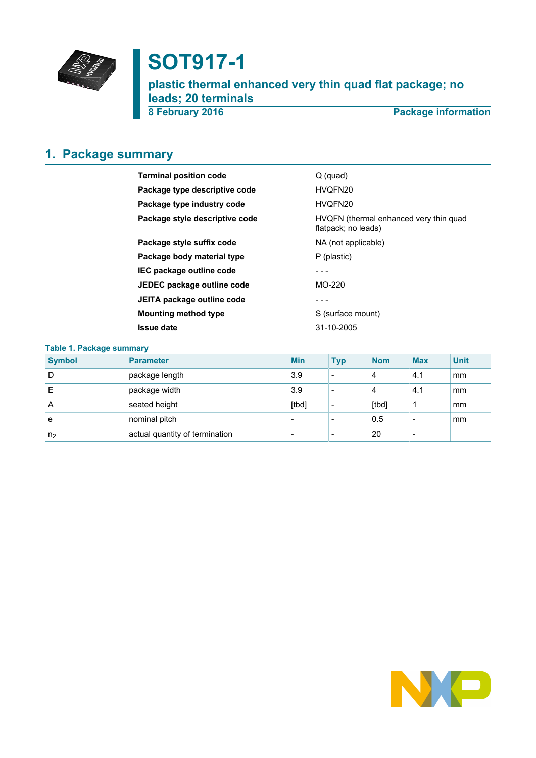

# **SOT917-1**

**plastic thermal enhanced very thin quad flat package; no leads; 20 terminals**

**8 February 2016 Package information**

# <span id="page-0-0"></span>**1. Package summary**

| <b>Terminal position code</b>  | $Q$ (quad)                                                    |  |  |
|--------------------------------|---------------------------------------------------------------|--|--|
| Package type descriptive code  | HVQFN20                                                       |  |  |
| Package type industry code     | HVQFN20                                                       |  |  |
| Package style descriptive code | HVQFN (thermal enhanced very thin quad<br>flatpack; no leads) |  |  |
| Package style suffix code      | NA (not applicable)                                           |  |  |
| Package body material type     | P (plastic)                                                   |  |  |
| IEC package outline code       |                                                               |  |  |
| JEDEC package outline code     | MO-220                                                        |  |  |
| JEITA package outline code     |                                                               |  |  |
| <b>Mounting method type</b>    | S (surface mount)                                             |  |  |
| <b>Issue date</b>              | 31-10-2005                                                    |  |  |

| <b>Table 1. Package summary</b> |                                |  |                          |            |            |            |             |  |  |
|---------------------------------|--------------------------------|--|--------------------------|------------|------------|------------|-------------|--|--|
| <b>Symbol</b>                   | <b>Parameter</b>               |  | <b>Min</b>               | <b>Typ</b> | <b>Nom</b> | <b>Max</b> | <b>Unit</b> |  |  |
| D                               | package length                 |  | 3.9                      |            | 4          | 4.1        | mm          |  |  |
|                                 | package width                  |  | 3.9                      |            | 4          | 4.1        | mm          |  |  |
| A                               | seated height                  |  | [tbd]                    |            | [tbd]      |            | mm          |  |  |
| e                               | nominal pitch                  |  | $\overline{\phantom{0}}$ |            | 0.5        |            | mm          |  |  |
| n <sub>2</sub>                  | actual quantity of termination |  |                          |            | 20         |            |             |  |  |

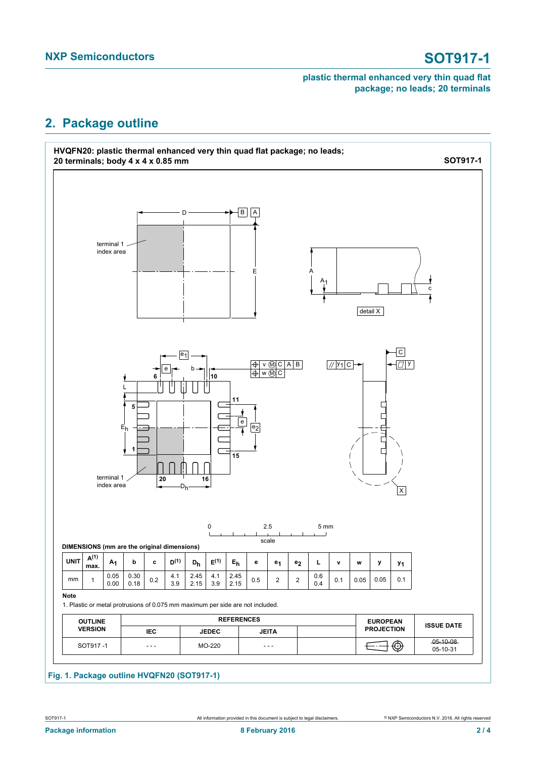### **plastic thermal enhanced very thin quad flat package; no leads; 20 terminals**

# <span id="page-1-0"></span>**2. Package outline**

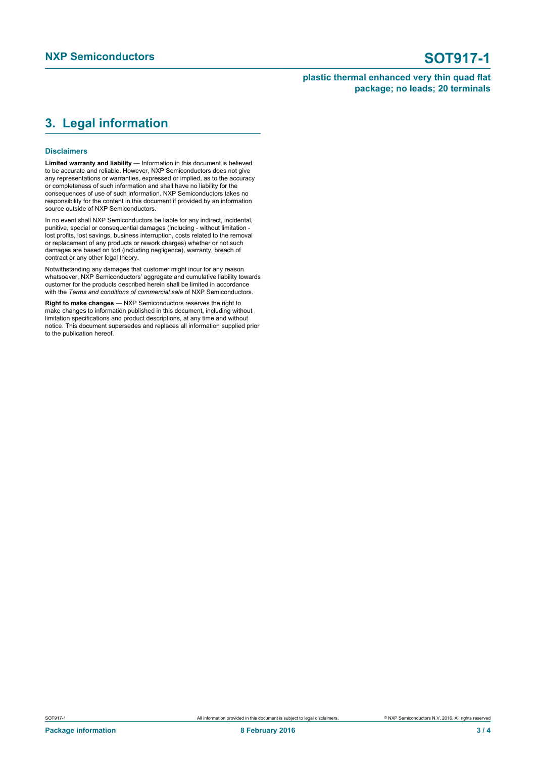### **plastic thermal enhanced very thin quad flat package; no leads; 20 terminals**

# <span id="page-2-0"></span>**3. Legal information**

### **Disclaimers**

**Limited warranty and liability** — Information in this document is believed to be accurate and reliable. However, NXP Semiconductors does not give any representations or warranties, expressed or implied, as to the accuracy or completeness of such information and shall have no liability for the consequences of use of such information. NXP Semiconductors takes no responsibility for the content in this document if provided by an information source outside of NXP Semiconductors.

In no event shall NXP Semiconductors be liable for any indirect, incidental, punitive, special or consequential damages (including - without limitation lost profits, lost savings, business interruption, costs related to the removal or replacement of any products or rework charges) whether or not such damages are based on tort (including negligence), warranty, breach of contract or any other legal theory.

Notwithstanding any damages that customer might incur for any reason whatsoever, NXP Semiconductors' aggregate and cumulative liability towards customer for the products described herein shall be limited in accordance with the *Terms and conditions of commercial sale* of NXP Semiconductors.

**Right to make changes** — NXP Semiconductors reserves the right to make changes to information published in this document, including without limitation specifications and product descriptions, at any time and without notice. This document supersedes and replaces all information supplied prior to the publication hereof.